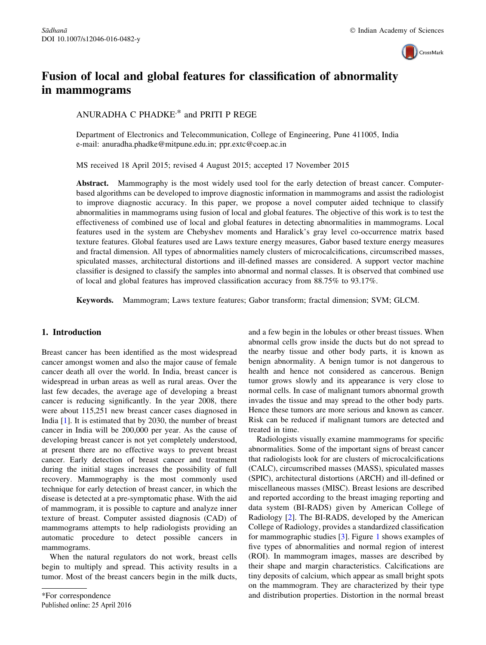

# Fusion of local and global features for classification of abnormality in mammograms

ANURADHA C PHADKE, \* and PRITI P REGE

Department of Electronics and Telecommunication, College of Engineering, Pune 411005, India e-mail: anuradha.phadke@mitpune.edu.in; ppr.extc@coep.ac.in

MS received 18 April 2015; revised 4 August 2015; accepted 17 November 2015

Abstract. Mammography is the most widely used tool for the early detection of breast cancer. Computerbased algorithms can be developed to improve diagnostic information in mammograms and assist the radiologist to improve diagnostic accuracy. In this paper, we propose a novel computer aided technique to classify abnormalities in mammograms using fusion of local and global features. The objective of this work is to test the effectiveness of combined use of local and global features in detecting abnormalities in mammograms. Local features used in the system are Chebyshev moments and Haralick's gray level co-occurrence matrix based texture features. Global features used are Laws texture energy measures, Gabor based texture energy measures and fractal dimension. All types of abnormalities namely clusters of microcalcifications, circumscribed masses, spiculated masses, architectural distortions and ill-defined masses are considered. A support vector machine classifier is designed to classify the samples into abnormal and normal classes. It is observed that combined use of local and global features has improved classification accuracy from 88.75% to 93.17%.

Keywords. Mammogram; Laws texture features; Gabor transform; fractal dimension; SVM; GLCM.

## 1. Introduction

Breast cancer has been identified as the most widespread cancer amongst women and also the major cause of female cancer death all over the world. In India, breast cancer is widespread in urban areas as well as rural areas. Over the last few decades, the average age of developing a breast cancer is reducing significantly. In the year 2008, there were about 115,251 new breast cancer cases diagnosed in India [[1\]](#page-9-0). It is estimated that by 2030, the number of breast cancer in India will be 200,000 per year. As the cause of developing breast cancer is not yet completely understood, at present there are no effective ways to prevent breast cancer. Early detection of breast cancer and treatment during the initial stages increases the possibility of full recovery. Mammography is the most commonly used technique for early detection of breast cancer, in which the disease is detected at a pre-symptomatic phase. With the aid of mammogram, it is possible to capture and analyze inner texture of breast. Computer assisted diagnosis (CAD) of mammograms attempts to help radiologists providing an automatic procedure to detect possible cancers in mammograms.

When the natural regulators do not work, breast cells begin to multiply and spread. This activity results in a tumor. Most of the breast cancers begin in the milk ducts, and a few begin in the lobules or other breast tissues. When abnormal cells grow inside the ducts but do not spread to the nearby tissue and other body parts, it is known as benign abnormality. A benign tumor is not dangerous to health and hence not considered as cancerous. Benign tumor grows slowly and its appearance is very close to normal cells. In case of malignant tumors abnormal growth invades the tissue and may spread to the other body parts. Hence these tumors are more serious and known as cancer. Risk can be reduced if malignant tumors are detected and treated in time.

Radiologists visually examine mammograms for specific abnormalities. Some of the important signs of breast cancer that radiologists look for are clusters of microcalcifications (CALC), circumscribed masses (MASS), spiculated masses (SPIC), architectural distortions (ARCH) and ill-defined or miscellaneous masses (MISC). Breast lesions are described and reported according to the breast imaging reporting and data system (BI-RADS) given by American College of Radiology [[2](#page-9-0)]. The BI-RADS, developed by the American College of Radiology, provides a standardized classification for mammographic studies [[3\]](#page-9-0). Figure [1](#page-1-0) shows examples of five types of abnormalities and normal region of interest (ROI). In mammogram images, masses are described by their shape and margin characteristics. Calcifications are tiny deposits of calcium, which appear as small bright spots on the mammogram. They are characterized by their type \*For correspondence and distribution properties. Distortion in the normal breast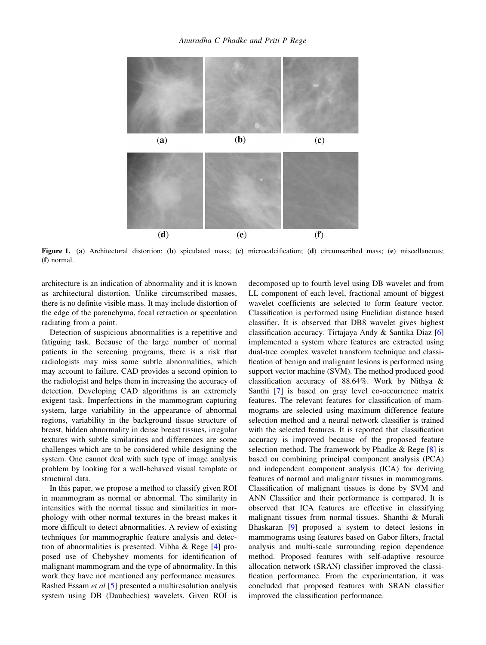<span id="page-1-0"></span>

Figure 1. (a) Architectural distortion; (b) spiculated mass; (c) microcalcification; (d) circumscribed mass; (e) miscellaneous; (f) normal.

architecture is an indication of abnormality and it is known as architectural distortion. Unlike circumscribed masses, there is no definite visible mass. It may include distortion of the edge of the parenchyma, focal retraction or speculation radiating from a point.

Detection of suspicious abnormalities is a repetitive and fatiguing task. Because of the large number of normal patients in the screening programs, there is a risk that radiologists may miss some subtle abnormalities, which may account to failure. CAD provides a second opinion to the radiologist and helps them in increasing the accuracy of detection. Developing CAD algorithms is an extremely exigent task. Imperfections in the mammogram capturing system, large variability in the appearance of abnormal regions, variability in the background tissue structure of breast, hidden abnormality in dense breast tissues, irregular textures with subtle similarities and differences are some challenges which are to be considered while designing the system. One cannot deal with such type of image analysis problem by looking for a well-behaved visual template or structural data.

In this paper, we propose a method to classify given ROI in mammogram as normal or abnormal. The similarity in intensities with the normal tissue and similarities in morphology with other normal textures in the breast makes it more difficult to detect abnormalities. A review of existing techniques for mammographic feature analysis and detection of abnormalities is presented. Vibha & Rege [\[4\]](#page-9-0) proposed use of Chebyshev moments for identification of malignant mammogram and the type of abnormality. In this work they have not mentioned any performance measures. Rashed Essam et al [\[5](#page-9-0)] presented a multiresolution analysis system using DB (Daubechies) wavelets. Given ROI is decomposed up to fourth level using DB wavelet and from LL component of each level, fractional amount of biggest wavelet coefficients are selected to form feature vector. Classification is performed using Euclidian distance based classifier. It is observed that DB8 wavelet gives highest classification accuracy. Tirtajaya Andy & Santika Diaz [[6\]](#page-9-0) implemented a system where features are extracted using dual-tree complex wavelet transform technique and classification of benign and malignant lesions is performed using support vector machine (SVM). The method produced good classification accuracy of 88.64%. Work by Nithya & Santhi [[7\]](#page-9-0) is based on gray level co-occurrence matrix features. The relevant features for classification of mammograms are selected using maximum difference feature selection method and a neural network classifier is trained with the selected features. It is reported that classification accuracy is improved because of the proposed feature selection method. The framework by Phadke  $\&$  Rege [\[8](#page-10-0)] is based on combining principal component analysis (PCA) and independent component analysis (ICA) for deriving features of normal and malignant tissues in mammograms. Classification of malignant tissues is done by SVM and ANN Classifier and their performance is compared. It is observed that ICA features are effective in classifying malignant tissues from normal tissues. Shanthi & Murali Bhaskaran [\[9](#page-10-0)] proposed a system to detect lesions in mammograms using features based on Gabor filters, fractal analysis and multi-scale surrounding region dependence method. Proposed features with self-adaptive resource allocation network (SRAN) classifier improved the classification performance. From the experimentation, it was concluded that proposed features with SRAN classifier improved the classification performance.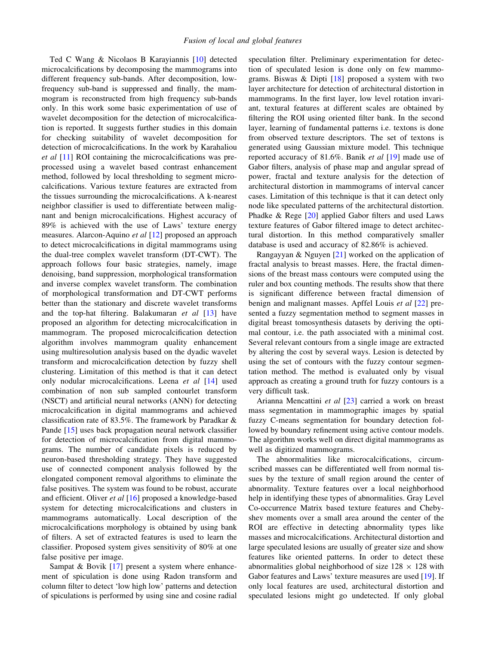Ted C Wang & Nicolaos B Karayiannis [\[10](#page-10-0)] detected microcalcifications by decomposing the mammograms into different frequency sub-bands. After decomposition, lowfrequency sub-band is suppressed and finally, the mammogram is reconstructed from high frequency sub-bands only. In this work some basic experimentation of use of wavelet decomposition for the detection of microcalcification is reported. It suggests further studies in this domain for checking suitability of wavelet decomposition for detection of microcalcifications. In the work by Karahaliou et al [\[11](#page-10-0)] ROI containing the microcalcifications was preprocessed using a wavelet based contrast enhancement method, followed by local thresholding to segment microcalcifications. Various texture features are extracted from the tissues surrounding the microcalcifications. A k-nearest neighbor classifier is used to differentiate between malignant and benign microcalcifications. Highest accuracy of 89% is achieved with the use of Laws' texture energy measures. Alarcon-Aquino et al [[12\]](#page-10-0) proposed an approach to detect microcalcifications in digital mammograms using the dual-tree complex wavelet transform (DT-CWT). The approach follows four basic strategies, namely, image denoising, band suppression, morphological transformation and inverse complex wavelet transform. The combination of morphological transformation and DT-CWT performs better than the stationary and discrete wavelet transforms and the top-hat filtering. Balakumaran  $et$  al  $[13]$  $[13]$  have proposed an algorithm for detecting microcalcification in mammogram. The proposed microcalcification detection algorithm involves mammogram quality enhancement using multiresolution analysis based on the dyadic wavelet transform and microcalcification detection by fuzzy shell clustering. Limitation of this method is that it can detect only nodular microcalcifications. Leena et al [[14\]](#page-10-0) used combination of non sub sampled contourlet transform (NSCT) and artificial neural networks (ANN) for detecting microcalcification in digital mammograms and achieved classification rate of 83.5%. The framework by Paradkar & Pande [[15\]](#page-10-0) uses back propagation neural network classifier for detection of microcalcification from digital mammograms. The number of candidate pixels is reduced by neuron-based thresholding strategy. They have suggested use of connected component analysis followed by the elongated component removal algorithms to eliminate the false positives. The system was found to be robust, accurate and efficient. Oliver et al [\[16](#page-10-0)] proposed a knowledge-based system for detecting microcalcifications and clusters in mammograms automatically. Local description of the microcalcifications morphology is obtained by using bank of filters. A set of extracted features is used to learn the classifier. Proposed system gives sensitivity of 80% at one false positive per image.

Sampat & Bovik [\[17](#page-10-0)] present a system where enhancement of spiculation is done using Radon transform and column filter to detect 'low high low' patterns and detection of spiculations is performed by using sine and cosine radial

speculation filter. Preliminary experimentation for detection of speculated lesion is done only on few mammograms. Biswas & Dipti [[18\]](#page-10-0) proposed a system with two layer architecture for detection of architectural distortion in mammograms. In the first layer, low level rotation invariant, textural features at different scales are obtained by filtering the ROI using oriented filter bank. In the second layer, learning of fundamental patterns i.e. textons is done from observed texture descriptors. The set of textons is generated using Gaussian mixture model. This technique reported accuracy of 81.6%. Banik et al [\[19](#page-10-0)] made use of Gabor filters, analysis of phase map and angular spread of power, fractal and texture analysis for the detection of architectural distortion in mammograms of interval cancer cases. Limitation of this technique is that it can detect only node like speculated patterns of the architectural distortion. Phadke & Rege [[20\]](#page-10-0) applied Gabor filters and used Laws texture features of Gabor filtered image to detect architectural distortion. In this method comparatively smaller database is used and accuracy of 82.86% is achieved.

Rangayyan & Nguyen [\[21](#page-10-0)] worked on the application of fractal analysis to breast masses. Here, the fractal dimensions of the breast mass contours were computed using the ruler and box counting methods. The results show that there is significant difference between fractal dimension of benign and malignant masses. Apffel Louis et al [\[22](#page-10-0)] presented a fuzzy segmentation method to segment masses in digital breast tomosynthesis datasets by deriving the optimal contour, i.e. the path associated with a minimal cost. Several relevant contours from a single image are extracted by altering the cost by several ways. Lesion is detected by using the set of contours with the fuzzy contour segmentation method. The method is evaluated only by visual approach as creating a ground truth for fuzzy contours is a very difficult task.

Arianna Mencattini et al [[23](#page-10-0)] carried a work on breast mass segmentation in mammographic images by spatial fuzzy C-means segmentation for boundary detection followed by boundary refinement using active contour models. The algorithm works well on direct digital mammograms as well as digitized mammograms.

The abnormalities like microcalcifications, circumscribed masses can be differentiated well from normal tissues by the texture of small region around the center of abnormality. Texture features over a local neighborhood help in identifying these types of abnormalities. Gray Level Co-occurrence Matrix based texture features and Chebyshev moments over a small area around the center of the ROI are effective in detecting abnormality types like masses and microcalcifications. Architectural distortion and large speculated lesions are usually of greater size and show features like oriented patterns. In order to detect these abnormalities global neighborhood of size  $128 \times 128$  with Gabor features and Laws' texture measures are used [\[19](#page-10-0)]. If only local features are used, architectural distortion and speculated lesions might go undetected. If only global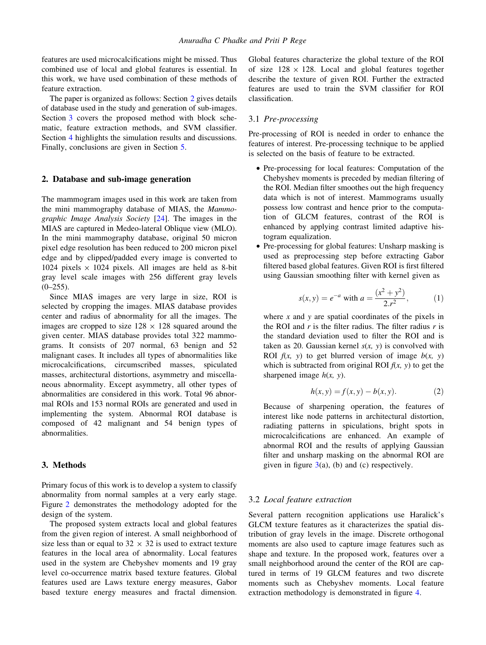features are used microcalcifications might be missed. Thus combined use of local and global features is essential. In this work, we have used combination of these methods of feature extraction.

The paper is organized as follows: Section 2 gives details of database used in the study and generation of sub-images. Section 3 covers the proposed method with block schematic, feature extraction methods, and SVM classifier. Section [4](#page-8-0) highlights the simulation results and discussions. Finally, conclusions are given in Section [5](#page-9-0).

## 2. Database and sub-image generation

The mammogram images used in this work are taken from the mini mammography database of MIAS, the Mammographic Image Analysis Society [[24\]](#page-10-0). The images in the MIAS are captured in Medeo-lateral Oblique view (MLO). In the mini mammography database, original 50 micron pixel edge resolution has been reduced to 200 micron pixel edge and by clipped/padded every image is converted to 1024 pixels  $\times$  1024 pixels. All images are held as 8-bit gray level scale images with 256 different gray levels  $(0-255)$ .

Since MIAS images are very large in size, ROI is selected by cropping the images. MIAS database provides center and radius of abnormality for all the images. The images are cropped to size  $128 \times 128$  squared around the given center. MIAS database provides total 322 mammograms. It consists of 207 normal, 63 benign and 52 malignant cases. It includes all types of abnormalities like microcalcifications, circumscribed masses, spiculated masses, architectural distortions, asymmetry and miscellaneous abnormality. Except asymmetry, all other types of abnormalities are considered in this work. Total 96 abnormal ROIs and 153 normal ROIs are generated and used in implementing the system. Abnormal ROI database is composed of 42 malignant and 54 benign types of abnormalities.

## 3. Methods

Primary focus of this work is to develop a system to classify abnormality from normal samples at a very early stage. Figure [2](#page-4-0) demonstrates the methodology adopted for the design of the system.

The proposed system extracts local and global features from the given region of interest. A small neighborhood of size less than or equal to  $32 \times 32$  is used to extract texture features in the local area of abnormality. Local features used in the system are Chebyshev moments and 19 gray level co-occurrence matrix based texture features. Global features used are Laws texture energy measures, Gabor based texture energy measures and fractal dimension. Global features characterize the global texture of the ROI of size  $128 \times 128$ . Local and global features together describe the texture of given ROI. Further the extracted features are used to train the SVM classifier for ROI classification.

#### 3.1 Pre-processing

Pre-processing of ROI is needed in order to enhance the features of interest. Pre-processing technique to be applied is selected on the basis of feature to be extracted.

- Pre-processing for local features: Computation of the Chebyshev moments is preceded by median filtering of the ROI. Median filter smoothes out the high frequency data which is not of interest. Mammograms usually possess low contrast and hence prior to the computation of GLCM features, contrast of the ROI is enhanced by applying contrast limited adaptive histogram equalization.
- Pre-processing for global features: Unsharp masking is used as preprocessing step before extracting Gabor filtered based global features. Given ROI is first filtered using Gaussian smoothing filter with kernel given as

$$
s(x, y) = e^{-a} \text{ with } a = \frac{(x^2 + y^2)}{2 \cdot r^2},
$$
 (1)

where  $x$  and  $y$  are spatial coordinates of the pixels in the ROI and  $r$  is the filter radius. The filter radius  $r$  is the standard deviation used to filter the ROI and is taken as 20. Gaussian kernel  $s(x, y)$  is convolved with ROI  $f(x, y)$  to get blurred version of image  $b(x, y)$ which is subtracted from original ROI  $f(x, y)$  to get the sharpened image  $h(x, y)$ .

$$
h(x, y) = f(x, y) - b(x, y).
$$
 (2)

Because of sharpening operation, the features of interest like node patterns in architectural distortion, radiating patterns in spiculations, bright spots in microcalcifications are enhanced. An example of abnormal ROI and the results of applying Gaussian filter and unsharp masking on the abnormal ROI are given in figure  $3(a)$  $3(a)$ , (b) and (c) respectively.

## 3.2 Local feature extraction

Several pattern recognition applications use Haralick's GLCM texture features as it characterizes the spatial distribution of gray levels in the image. Discrete orthogonal moments are also used to capture image features such as shape and texture. In the proposed work, features over a small neighborhood around the center of the ROI are captured in terms of 19 GLCM features and two discrete moments such as Chebyshev moments. Local feature extraction methodology is demonstrated in figure [4](#page-4-0).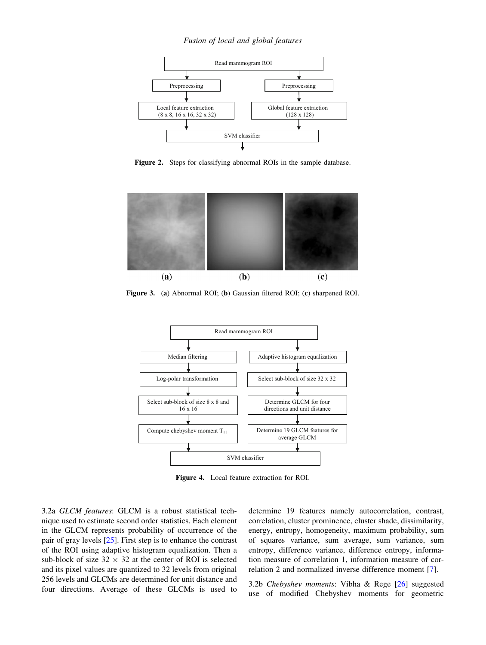#### Fusion of local and global features

<span id="page-4-0"></span>

Figure 2. Steps for classifying abnormal ROIs in the sample database.



Figure 3. (a) Abnormal ROI; (b) Gaussian filtered ROI; (c) sharpened ROI.



Figure 4. Local feature extraction for ROI.

3.2a GLCM features: GLCM is a robust statistical technique used to estimate second order statistics. Each element in the GLCM represents probability of occurrence of the pair of gray levels [\[25](#page-10-0)]. First step is to enhance the contrast of the ROI using adaptive histogram equalization. Then a sub-block of size  $32 \times 32$  at the center of ROI is selected and its pixel values are quantized to 32 levels from original 256 levels and GLCMs are determined for unit distance and four directions. Average of these GLCMs is used to determine 19 features namely autocorrelation, contrast, correlation, cluster prominence, cluster shade, dissimilarity, energy, entropy, homogeneity, maximum probability, sum of squares variance, sum average, sum variance, sum entropy, difference variance, difference entropy, information measure of correlation 1, information measure of correlation 2 and normalized inverse difference moment [[7\]](#page-9-0).

3.2b Chebyshev moments: Vibha & Rege [\[26](#page-10-0)] suggested use of modified Chebyshev moments for geometric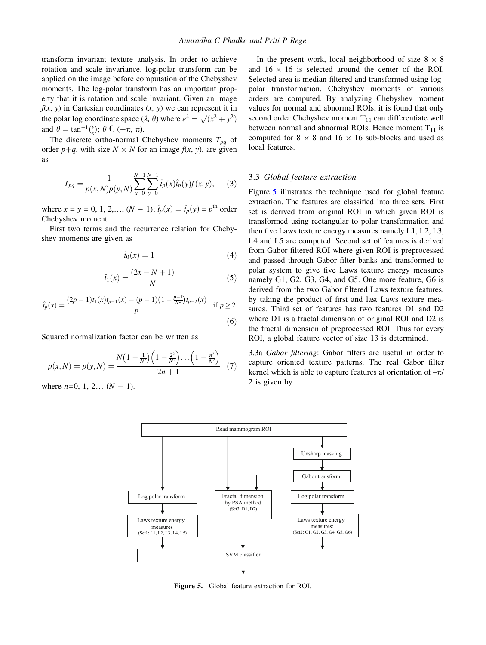<span id="page-5-0"></span>transform invariant texture analysis. In order to achieve rotation and scale invariance, log-polar transform can be applied on the image before computation of the Chebyshev moments. The log-polar transform has an important property that it is rotation and scale invariant. Given an image  $f(x, y)$  in Cartesian coordinates  $(x, y)$  we can represent it in the polar log coordinate space  $(\lambda, \theta)$  where  $e^{\lambda} = \sqrt{x^2 + y^2}$ and  $\theta = \tan^{-1}(\frac{y}{x}); \theta \in (-\pi, \pi)$ .

The discrete ortho-normal Chebyshev moments  $T_{pq}$  of order  $p+q$ , with size  $N \times N$  for an image  $f(x, y)$ , are given as

$$
T_{pq} = \frac{1}{p(x,N)p(y,N)} \sum_{x=0}^{N-1} \sum_{y=0}^{N-1} \hat{t}_p(x)\hat{t}_p(y)f(x,y), \quad (3)
$$

where  $x = y = 0, 1, 2, \ldots, (N - 1); \hat{t}_p(x) = \hat{t}_p(y) = p^{\text{th}}$  order Chebyshev moment.

First two terms and the recurrence relation for Chebyshev moments are given as

$$
\hat{t}_0(x) = 1 \tag{4}
$$

$$
\hat{t}_1(x) = \frac{(2x - N + 1)}{N} \tag{5}
$$

$$
\hat{t}_p(x) = \frac{(2p-1)t_1(x)t_{p-1}(x) - (p-1)\left(1 - \frac{p-1}{N^2}\right)t_{p-2}(x)}{p}, \text{ if } p \ge 2.
$$
\n
$$
(6)
$$

Squared normalization factor can be written as

$$
p(x,N) = p(y,N) = \frac{N(1 - \frac{1}{N^2})(1 - \frac{2^2}{N^2}) \dots (1 - \frac{n^2}{N^2})}{2n + 1}
$$
 (7)

where  $n=0, 1, 2... (N-1)$ .

In the present work, local neighborhood of size  $8 \times 8$ and  $16 \times 16$  is selected around the center of the ROI. Selected area is median filtered and transformed using logpolar transformation. Chebyshev moments of various orders are computed. By analyzing Chebyshev moment values for normal and abnormal ROIs, it is found that only second order Chebyshev moment  $T_{11}$  can differentiate well between normal and abnormal ROIs. Hence moment  $T_{11}$  is computed for  $8 \times 8$  and  $16 \times 16$  sub-blocks and used as local features.

## 3.3 Global feature extraction

Figure 5 illustrates the technique used for global feature extraction. The features are classified into three sets. First set is derived from original ROI in which given ROI is transformed using rectangular to polar transformation and then five Laws texture energy measures namely L1, L2, L3, L4 and L5 are computed. Second set of features is derived from Gabor filtered ROI where given ROI is preprocessed and passed through Gabor filter banks and transformed to polar system to give five Laws texture energy measures namely G1, G2, G3, G4, and G5. One more feature, G6 is derived from the two Gabor filtered Laws texture features, by taking the product of first and last Laws texture measures. Third set of features has two features D1 and D2 where D1 is a fractal dimension of original ROI and D2 is the fractal dimension of preprocessed ROI. Thus for every ROI, a global feature vector of size 13 is determined.

3.3a Gabor filtering: Gabor filters are useful in order to capture oriented texture patterns. The real Gabor filter kernel which is able to capture features at orientation of  $-\pi$ / 2 is given by



Figure 5. Global feature extraction for ROI.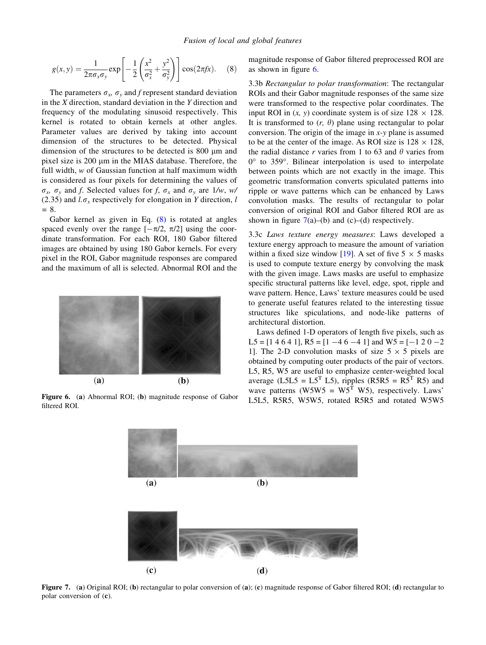$$
g(x,y) = \frac{1}{2\pi\sigma_x\sigma_y} \exp\left[-\frac{1}{2}\left(\frac{x^2}{\sigma_x^2} + \frac{y^2}{\sigma_y^2}\right)\right] \cos(2\pi fx). \quad (8)
$$

The parameters  $\sigma_x$ ,  $\sigma_y$  and f represent standard deviation in the  $X$  direction, standard deviation in the  $Y$  direction and frequency of the modulating sinusoid respectively. This kernel is rotated to obtain kernels at other angles. Parameter values are derived by taking into account dimension of the structures to be detected. Physical dimension of the structures to be detected is 800 µm and pixel size is  $200 \mu m$  in the MIAS database. Therefore, the full width, w of Gaussian function at half maximum width is considered as four pixels for determining the values of  $\sigma_x$ ,  $\sigma_y$  and f. Selected values for f,  $\sigma_x$  and  $\sigma_y$  are 1/w, w/ (2.35) and  $l.\sigma_x$  respectively for elongation in Y direction, l  $= 8.$ 

Gabor kernel as given in Eq. [\(8](#page-5-0)) is rotated at angles spaced evenly over the range  $[-\pi/2, \pi/2]$  using the coordinate transformation. For each ROI, 180 Gabor filtered images are obtained by using 180 Gabor kernels. For every pixel in the ROI, Gabor magnitude responses are compared and the maximum of all is selected. Abnormal ROI and the



filtered ROI.

magnitude response of Gabor filtered preprocessed ROI are as shown in figure 6.

3.3b Rectangular to polar transformation: The rectangular ROIs and their Gabor magnitude responses of the same size were transformed to the respective polar coordinates. The input ROI in  $(x, y)$  coordinate system is of size  $128 \times 128$ . It is transformed to  $(r, \theta)$  plane using rectangular to polar conversion. The origin of the image in  $x-y$  plane is assumed to be at the center of the image. As ROI size is  $128 \times 128$ , the radial distance r varies from 1 to 63 and  $\theta$  varies from  $0^{\circ}$  to 359 $^{\circ}$ . Bilinear interpolation is used to interpolate between points which are not exactly in the image. This geometric transformation converts spiculated patterns into ripple or wave patterns which can be enhanced by Laws convolution masks. The results of rectangular to polar conversion of original ROI and Gabor filtered ROI are as shown in figure  $7(a)$ –(b) and (c)–(d) respectively.

3.3c Laws texture energy measures: Laws developed a texture energy approach to measure the amount of variation within a fixed size window [\[19](#page-10-0)]. A set of five  $5 \times 5$  masks is used to compute texture energy by convolving the mask with the given image. Laws masks are useful to emphasize specific structural patterns like level, edge, spot, ripple and wave pattern. Hence, Laws' texture measures could be used to generate useful features related to the interesting tissue structures like spiculations, and node-like patterns of architectural distortion.

Laws defined 1-D operators of length five pixels, such as L5 = [1 4 6 4 1], R5 = [1 -4 6 -4 1] and W5 = [-1 2 0 -2 1]. The 2-D convolution masks of size  $5 \times 5$  pixels are obtained by computing outer products of the pair of vectors. L5, R5, W5 are useful to emphasize center-weighted local average (L5L5 = L5<sup>T</sup> L5), ripples (R5R5 = R5<sup>T</sup> R5) and wave patterns (W5W5 =  $W5^T$  W5), respectively. Laws' Figure 6. (a) Abnormal ROI; (b) magnitude response of Gabor [15115, R5R5, W5W5, rotated R5R5 and rotated W5W5



Figure 7. (a) Original ROI; (b) rectangular to polar conversion of (a); (c) magnitude response of Gabor filtered ROI; (d) rectangular to polar conversion of (c).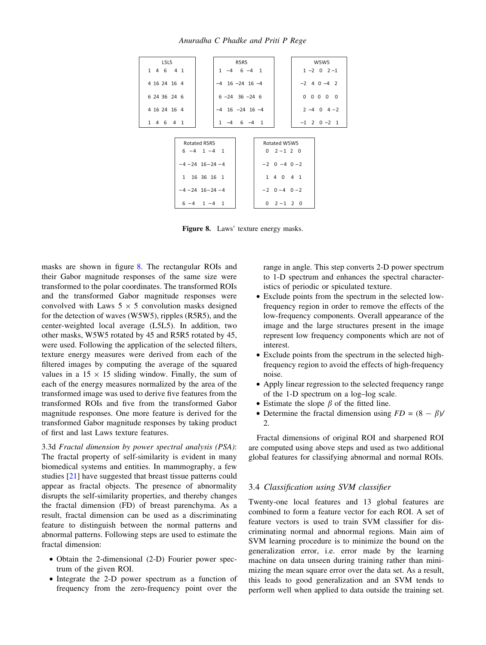Anuradha C Phadke and Priti P Rege

| L5L5         |                       | R5R5                  |                     |  | W5W5                            |  |  |
|--------------|-----------------------|-----------------------|---------------------|--|---------------------------------|--|--|
| 1 4 6 4 1    |                       | $1 -4 6 -4 1$         |                     |  | $1 - 2 0 2 - 1$                 |  |  |
| 4 16 24 16 4 |                       | $-4$ 16 $-24$ 16 $-4$ |                     |  | $-2$ 4 0 $-4$ 2                 |  |  |
| 6 24 36 24 6 |                       | $6 - 24$ 36 $-24$ 6   |                     |  | $0\quad 0\quad 0\quad 0\quad 0$ |  |  |
| 4 16 24 16 4 |                       | $-4$ 16 $-24$ 16 $-4$ |                     |  | $2 - 4$ 0 $4 - 2$               |  |  |
| 1 4 6 4 1    |                       | $1 -4 6 -4 1$         |                     |  | $-1$ 2 0 $-2$ 1                 |  |  |
|              |                       |                       |                     |  |                                 |  |  |
|              | Rotated R5R5          |                       | Rotated W5W5        |  |                                 |  |  |
|              | $6 -4 1 -4 1$         |                       | $0 \t2 - 1 \t2 \t0$ |  |                                 |  |  |
|              | $-4 - 24$ 16 - 24 - 4 |                       | $-2$ 0 $-4$ 0 $-2$  |  |                                 |  |  |
|              | 1 16 36 16 1          |                       | 1 4 0 4 1           |  |                                 |  |  |
|              | $-4 - 24$ 16 - 24 - 4 |                       | $-2$ 0 $-4$ 0 $-2$  |  |                                 |  |  |
|              | $6 - 4$ $1 - 4$ 1     |                       | $0 \t2 - 1 \t2 \t0$ |  |                                 |  |  |

Figure 8. Laws' texture energy masks.

masks are shown in figure 8. The rectangular ROIs and their Gabor magnitude responses of the same size were transformed to the polar coordinates. The transformed ROIs and the transformed Gabor magnitude responses were convolved with Laws  $5 \times 5$  convolution masks designed for the detection of waves (W5W5), ripples (R5R5), and the center-weighted local average (L5L5). In addition, two other masks, W5W5 rotated by 45 and R5R5 rotated by 45, were used. Following the application of the selected filters, texture energy measures were derived from each of the filtered images by computing the average of the squared values in a  $15 \times 15$  sliding window. Finally, the sum of each of the energy measures normalized by the area of the transformed image was used to derive five features from the transformed ROIs and five from the transformed Gabor magnitude responses. One more feature is derived for the transformed Gabor magnitude responses by taking product of first and last Laws texture features.

3.3d Fractal dimension by power spectral analysis (PSA): The fractal property of self-similarity is evident in many biomedical systems and entities. In mammography, a few studies [[21\]](#page-10-0) have suggested that breast tissue patterns could appear as fractal objects. The presence of abnormality disrupts the self-similarity properties, and thereby changes the fractal dimension (FD) of breast parenchyma. As a result, fractal dimension can be used as a discriminating feature to distinguish between the normal patterns and abnormal patterns. Following steps are used to estimate the fractal dimension:

- Obtain the 2-dimensional (2-D) Fourier power spectrum of the given ROI.
- Integrate the 2-D power spectrum as a function of frequency from the zero-frequency point over the

range in angle. This step converts 2-D power spectrum to 1-D spectrum and enhances the spectral characteristics of periodic or spiculated texture.

- Exclude points from the spectrum in the selected lowfrequency region in order to remove the effects of the low-frequency components. Overall appearance of the image and the large structures present in the image represent low frequency components which are not of interest.
- Exclude points from the spectrum in the selected highfrequency region to avoid the effects of high-frequency noise.
- Apply linear regression to the selected frequency range of the 1-D spectrum on a log–log scale.
- Estimate the slope  $\beta$  of the fitted line.
- Determine the fractal dimension using  $FD = (8 \beta)$ / 2.

Fractal dimensions of original ROI and sharpened ROI are computed using above steps and used as two additional global features for classifying abnormal and normal ROIs.

#### 3.4 Classification using SVM classifier

Twenty-one local features and 13 global features are combined to form a feature vector for each ROI. A set of feature vectors is used to train SVM classifier for discriminating normal and abnormal regions. Main aim of SVM learning procedure is to minimize the bound on the generalization error, i.e. error made by the learning machine on data unseen during training rather than minimizing the mean square error over the data set. As a result, this leads to good generalization and an SVM tends to perform well when applied to data outside the training set.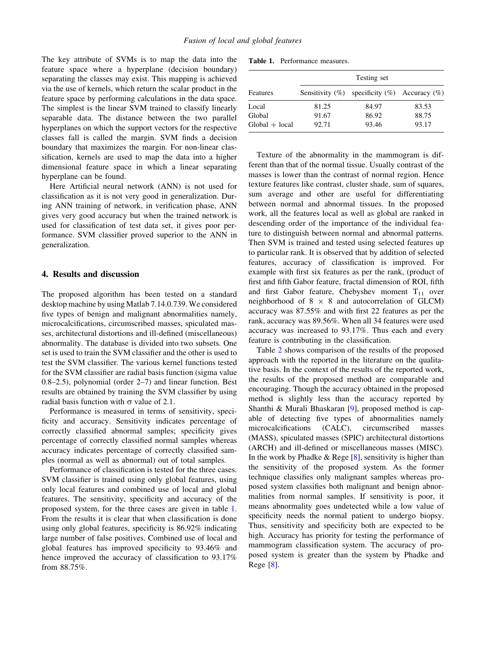<span id="page-8-0"></span>The key attribute of SVMs is to map the data into the feature space where a hyperplane (decision boundary) separating the classes may exist. This mapping is achieved via the use of kernels, which return the scalar product in the feature space by performing calculations in the data space. The simplest is the linear SVM trained to classify linearly separable data. The distance between the two parallel hyperplanes on which the support vectors for the respective classes fall is called the margin. SVM finds a decision boundary that maximizes the margin. For non-linear classification, kernels are used to map the data into a higher dimensional feature space in which a linear separating hyperplane can be found.

Here Artificial neural network (ANN) is not used for classification as it is not very good in generalization. During ANN training of network, in verification phase, ANN gives very good accuracy but when the trained network is used for classification of test data set, it gives poor performance. SVM classifier proved superior to the ANN in generalization.

## 4. Results and discussion

The proposed algorithm has been tested on a standard desktop machine by using Matlab 7.14.0.739. We considered five types of benign and malignant abnormalities namely, microcalcifications, circumscribed masses, spiculated masses, architectural distortions and ill-defined (miscellaneous) abnormality. The database is divided into two subsets. One set is used to train the SVM classifier and the other is used to test the SVM classifier. The various kernel functions tested for the SVM classifier are radial basis function (sigma value 0.8–2.5), polynomial (order 2–7) and linear function. Best results are obtained by training the SVM classifier by using radial basis function with  $\sigma$  value of 2.1.

Performance is measured in terms of sensitivity, specificity and accuracy. Sensitivity indicates percentage of correctly classified abnormal samples; specificity gives percentage of correctly classified normal samples whereas accuracy indicates percentage of correctly classified samples (normal as well as abnormal) out of total samples.

Performance of classification is tested for the three cases. SVM classifier is trained using only global features, using only local features and combined use of local and global features. The sensitivity, specificity and accuracy of the proposed system, for the three cases are given in table 1. From the results it is clear that when classification is done using only global features, specificity is 86.92% indicating large number of false positives. Combined use of local and global features has improved specificity to 93.46% and hence improved the accuracy of classification to 93.17% from 88.75%.

Table 1. Performance measures.

| Features         | Testing set |                                                       |       |  |  |  |
|------------------|-------------|-------------------------------------------------------|-------|--|--|--|
|                  |             | Sensitivity $(\%)$ specificity $(\%)$ Accuracy $(\%)$ |       |  |  |  |
| Local            | 81.25       | 84.97                                                 | 83.53 |  |  |  |
| Global           | 91.67       | 86.92                                                 | 88.75 |  |  |  |
| $Global + local$ | 92.71       | 93.46                                                 | 93.17 |  |  |  |

Texture of the abnormality in the mammogram is different than that of the normal tissue. Usually contrast of the masses is lower than the contrast of normal region. Hence texture features like contrast, cluster shade, sum of squares, sum average and other are useful for differentiating between normal and abnormal tissues. In the proposed work, all the features local as well as global are ranked in descending order of the importance of the individual feature to distinguish between normal and abnormal patterns. Then SVM is trained and tested using selected features up to particular rank. It is observed that by addition of selected features, accuracy of classification is improved. For example with first six features as per the rank, (product of first and fifth Gabor feature, fractal dimension of ROI, fifth and first Gabor feature, Chebyshev moment  $T_{11}$  over neighborhood of  $8 \times 8$  and autocorrelation of GLCM) accuracy was 87.55% and with first 22 features as per the rank, accuracy was 89.56%. When all 34 features were used accuracy was increased to 93.17%. Thus each and every feature is contributing in the classification.

Table [2](#page-9-0) shows comparison of the results of the proposed approach with the reported in the literature on the qualitative basis. In the context of the results of the reported work, the results of the proposed method are comparable and encouraging. Though the accuracy obtained in the proposed method is slightly less than the accuracy reported by Shanthi & Murali Bhaskaran [\[9](#page-10-0)], proposed method is capable of detecting five types of abnormalities namely microcalcifications (CALC), circumscribed masses (MASS), spiculated masses (SPIC) architectural distortions (ARCH) and ill-defined or miscellaneous masses (MISC). In the work by Phadke & Rege  $[8]$  $[8]$ , sensitivity is higher than the sensitivity of the proposed system. As the former technique classifies only malignant samples whereas proposed system classifies both malignant and benign abnormalities from normal samples. If sensitivity is poor, it means abnormality goes undetected while a low value of specificity needs the normal patient to undergo biopsy. Thus, sensitivity and specificity both are expected to be high. Accuracy has priority for testing the performance of mammogram classification system. The accuracy of proposed system is greater than the system by Phadke and Rege [[8\]](#page-10-0).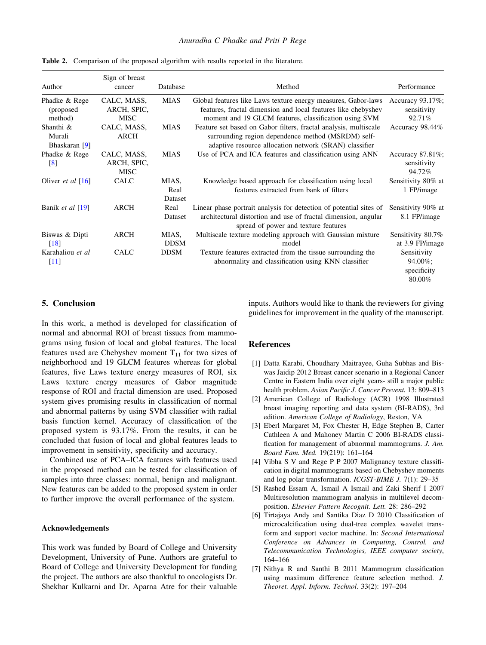| Author                                | Sign of breast<br>cancer                  | Database                 | Method                                                                                                                                                                                  | Performance                                     |
|---------------------------------------|-------------------------------------------|--------------------------|-----------------------------------------------------------------------------------------------------------------------------------------------------------------------------------------|-------------------------------------------------|
| Phadke & Rege<br>(proposed<br>method) | CALC, MASS,<br>ARCH, SPIC,<br><b>MISC</b> | <b>MIAS</b>              | Global features like Laws texture energy measures, Gabor-laws<br>features, fractal dimension and local features like chebyshev<br>moment and 19 GLCM features, classification using SVM | Accuracy 93.17%;<br>sensitivity<br>92.71%       |
| Shanthi &<br>Murali<br>Bhaskaran [9]  | CALC, MASS,<br>ARCH                       | <b>MIAS</b>              | Feature set based on Gabor filters, fractal analysis, multiscale<br>surrounding region dependence method (MSRDM) self-<br>adaptive resource allocation network (SRAN) classifier        | Accuracy 98.44%                                 |
| Phadke & Rege<br>$\lbrack 8 \rbrack$  | CALC, MASS,<br>ARCH, SPIC,<br><b>MISC</b> | <b>MIAS</b>              | Use of PCA and ICA features and classification using ANN                                                                                                                                | Accuracy $87.81\%$ ;<br>sensitivity<br>94.72%   |
| Oliver <i>et al</i> $[16]$            | <b>CALC</b>                               | MIAS,<br>Real<br>Dataset | Knowledge based approach for classification using local<br>features extracted from bank of filters                                                                                      | Sensitivity 80% at<br>1 FP/image                |
| Banik <i>et al</i> $[19]$             | ARCH                                      | Real<br>Dataset          | Linear phase portrait analysis for detection of potential sites of<br>architectural distortion and use of fractal dimension, angular<br>spread of power and texture features            | Sensitivity 90% at<br>8.1 FP/image              |
| Biswas & Dipti<br>$\lceil 18 \rceil$  | ARCH                                      | MIAS,<br><b>DDSM</b>     | Multiscale texture modeling approach with Gaussian mixture<br>model                                                                                                                     | Sensitivity 80.7%<br>at 3.9 FP/image            |
| Karahaliou et al<br>$[11]$            | <b>CALC</b>                               | <b>DDSM</b>              | Texture features extracted from the tissue surrounding the<br>abnormality and classification using KNN classifier                                                                       | Sensitivity<br>94.00%;<br>specificity<br>80.00% |

<span id="page-9-0"></span>Table 2. Comparison of the proposed algorithm with results reported in the literature.

# 5. Conclusion

In this work, a method is developed for classification of normal and abnormal ROI of breast tissues from mammograms using fusion of local and global features. The local features used are Chebyshev moment  $T_{11}$  for two sizes of neighborhood and 19 GLCM features whereas for global features, five Laws texture energy measures of ROI, six Laws texture energy measures of Gabor magnitude response of ROI and fractal dimension are used. Proposed system gives promising results in classification of normal and abnormal patterns by using SVM classifier with radial basis function kernel. Accuracy of classification of the proposed system is 93.17%. From the results, it can be concluded that fusion of local and global features leads to improvement in sensitivity, specificity and accuracy.

Combined use of PCA–ICA features with features used in the proposed method can be tested for classification of samples into three classes: normal, benign and malignant. New features can be added to the proposed system in order to further improve the overall performance of the system.

#### Acknowledgements

This work was funded by Board of College and University Development, University of Pune. Authors are grateful to Board of College and University Development for funding the project. The authors are also thankful to oncologists Dr. Shekhar Kulkarni and Dr. Aparna Atre for their valuable inputs. Authors would like to thank the reviewers for giving guidelines for improvement in the quality of the manuscript.

#### **References**

- [1] Datta Karabi, Choudhary Maitrayee, Guha Subhas and Biswas Jaidip 2012 Breast cancer scenario in a Regional Cancer Centre in Eastern India over eight years- still a major public health problem. Asian Pacific J. Cancer Prevent. 13: 809–813
- [2] American College of Radiology (ACR) 1998 Illustrated breast imaging reporting and data system (BI-RADS), 3rd edition. American College of Radiology, Reston, VA
- [3] Eberl Margaret M, Fox Chester H, Edge Stephen B, Carter Cathleen A and Mahoney Martin C 2006 BI-RADS classification for management of abnormal mammograms. J. Am. Board Fam. Med. 19(219): 161–164
- [4] Vibha S V and Rege P P 2007 Malignancy texture classification in digital mammograms based on Chebyshev moments and log polar transformation. ICGST-BIME J. 7(1): 29–35
- [5] Rashed Essam A, Ismail A Ismail and Zaki Sherif I 2007 Multiresolution mammogram analysis in multilevel decomposition. Elsevier Pattern Recognit. Lett. 28: 286–292
- [6] Tirtajaya Andy and Santika Diaz D 2010 Classification of microcalcification using dual-tree complex wavelet transform and support vector machine. In: Second International Conference on Advances in Computing, Control, and Telecommunication Technologies, IEEE computer society, 164–166
- [7] Nithya R and Santhi B 2011 Mammogram classification using maximum difference feature selection method. J. Theoret. Appl. Inform. Technol. 33(2): 197–204